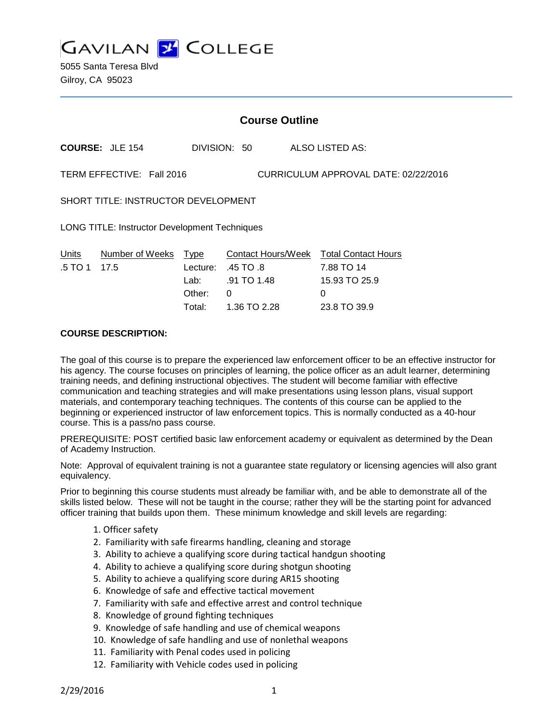

5055 Santa Teresa Blvd Gilroy, CA 95023

## **Course Outline**

**COURSE:** JLE 154 DIVISION: 50 ALSO LISTED AS:

TERM EFFECTIVE: Fall 2016 CURRICULUM APPROVAL DATE: 02/22/2016

SHORT TITLE: INSTRUCTOR DEVELOPMENT

LONG TITLE: Instructor Development Techniques

| Units          | Number of Weeks Type |          | Contact Hours/Week Total Contact Hours |               |
|----------------|----------------------|----------|----------------------------------------|---------------|
| $.5$ TO 1 17.5 |                      |          | Lecture: $.45$ TO $.8$                 | 7.88 TO 14    |
|                |                      |          | Lab: .91 TO 1.48                       | 15.93 TO 25.9 |
|                |                      | Other: 0 |                                        | $\mathbf{O}$  |
|                |                      |          | Total: 1.36 TO 2.28                    | 23.8 TO 39.9  |

#### **COURSE DESCRIPTION:**

The goal of this course is to prepare the experienced law enforcement officer to be an effective instructor for his agency. The course focuses on principles of learning, the police officer as an adult learner, determining training needs, and defining instructional objectives. The student will become familiar with effective communication and teaching strategies and will make presentations using lesson plans, visual support materials, and contemporary teaching techniques. The contents of this course can be applied to the beginning or experienced instructor of law enforcement topics. This is normally conducted as a 40-hour course. This is a pass/no pass course.

PREREQUISITE: POST certified basic law enforcement academy or equivalent as determined by the Dean of Academy Instruction.

Note: Approval of equivalent training is not a guarantee state regulatory or licensing agencies will also grant equivalency.

Prior to beginning this course students must already be familiar with, and be able to demonstrate all of the skills listed below. These will not be taught in the course; rather they will be the starting point for advanced officer training that builds upon them. These minimum knowledge and skill levels are regarding:

- 1. Officer safety
- 2. Familiarity with safe firearms handling, cleaning and storage
- 3. Ability to achieve a qualifying score during tactical handgun shooting
- 4. Ability to achieve a qualifying score during shotgun shooting
- 5. Ability to achieve a qualifying score during AR15 shooting
- 6. Knowledge of safe and effective tactical movement
- 7. Familiarity with safe and effective arrest and control technique
- 8. Knowledge of ground fighting techniques
- 9. Knowledge of safe handling and use of chemical weapons
- 10. Knowledge of safe handling and use of nonlethal weapons
- 11. Familiarity with Penal codes used in policing
- 12. Familiarity with Vehicle codes used in policing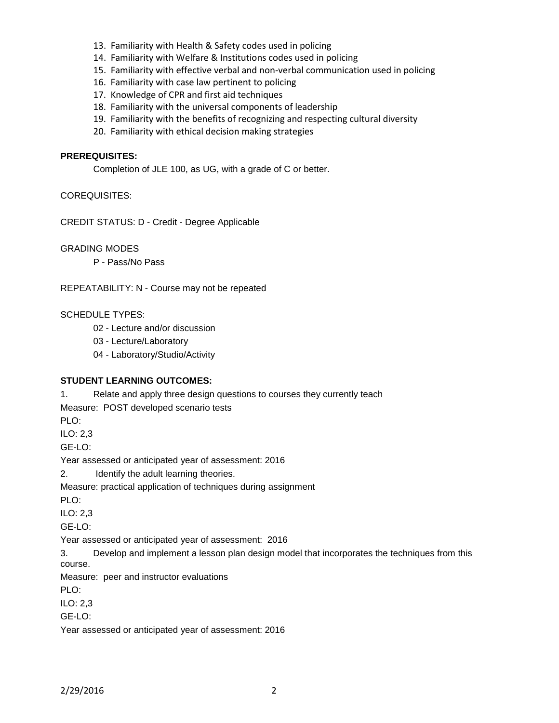- 13. Familiarity with Health & Safety codes used in policing
- 14. Familiarity with Welfare & Institutions codes used in policing
- 15. Familiarity with effective verbal and non-verbal communication used in policing
- 16. Familiarity with case law pertinent to policing
- 17. Knowledge of CPR and first aid techniques
- 18. Familiarity with the universal components of leadership
- 19. Familiarity with the benefits of recognizing and respecting cultural diversity
- 20. Familiarity with ethical decision making strategies

## **PREREQUISITES:**

Completion of JLE 100, as UG, with a grade of C or better.

#### COREQUISITES:

CREDIT STATUS: D - Credit - Degree Applicable

GRADING MODES

P - Pass/No Pass

REPEATABILITY: N - Course may not be repeated

#### SCHEDULE TYPES:

02 - Lecture and/or discussion

03 - Lecture/Laboratory

04 - Laboratory/Studio/Activity

## **STUDENT LEARNING OUTCOMES:**

1. Relate and apply three design questions to courses they currently teach

Measure: POST developed scenario tests

PLO:

ILO: 2,3

GE-LO:

Year assessed or anticipated year of assessment: 2016

2. Identify the adult learning theories.

Measure: practical application of techniques during assignment

PLO:

ILO: 2,3

GE-LO:

Year assessed or anticipated year of assessment: 2016

3. Develop and implement a lesson plan design model that incorporates the techniques from this course.

Measure: peer and instructor evaluations

PLO:

ILO: 2,3

GE-LO:

Year assessed or anticipated year of assessment: 2016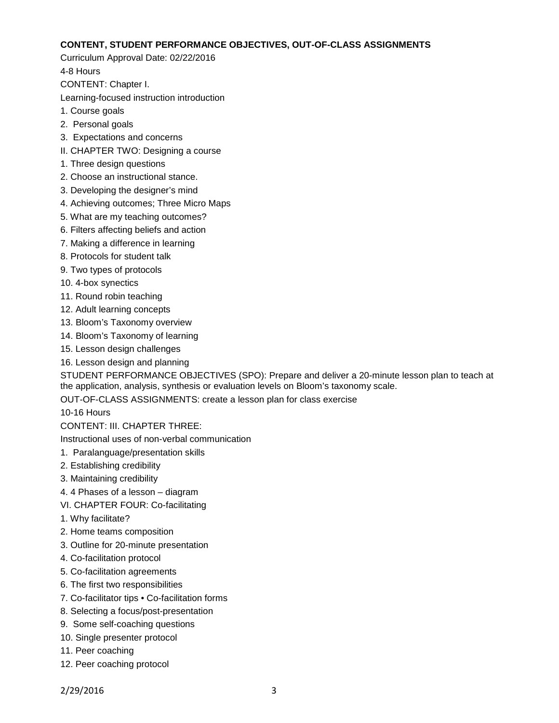#### **CONTENT, STUDENT PERFORMANCE OBJECTIVES, OUT-OF-CLASS ASSIGNMENTS**

Curriculum Approval Date: 02/22/2016

4-8 Hours

CONTENT: Chapter I.

Learning-focused instruction introduction

- 1. Course goals
- 2. Personal goals
- 3. Expectations and concerns
- II. CHAPTER TWO: Designing a course
- 1. Three design questions
- 2. Choose an instructional stance.
- 3. Developing the designer's mind
- 4. Achieving outcomes; Three Micro Maps
- 5. What are my teaching outcomes?
- 6. Filters affecting beliefs and action
- 7. Making a difference in learning
- 8. Protocols for student talk
- 9. Two types of protocols
- 10. 4-box synectics
- 11. Round robin teaching
- 12. Adult learning concepts
- 13. Bloom's Taxonomy overview
- 14. Bloom's Taxonomy of learning
- 15. Lesson design challenges
- 16. Lesson design and planning

STUDENT PERFORMANCE OBJECTIVES (SPO): Prepare and deliver a 20-minute lesson plan to teach at the application, analysis, synthesis or evaluation levels on Bloom's taxonomy scale.

OUT-OF-CLASS ASSIGNMENTS: create a lesson plan for class exercise

10-16 Hours

CONTENT: III. CHAPTER THREE:

Instructional uses of non-verbal communication

- 1. Paralanguage/presentation skills
- 2. Establishing credibility
- 3. Maintaining credibility
- 4. 4 Phases of a lesson diagram
- VI. CHAPTER FOUR: Co-facilitating
- 1. Why facilitate?
- 2. Home teams composition
- 3. Outline for 20-minute presentation
- 4. Co-facilitation protocol
- 5. Co-facilitation agreements
- 6. The first two responsibilities
- 7. Co-facilitator tips Co-facilitation forms
- 8. Selecting a focus/post-presentation
- 9. Some self-coaching questions
- 10. Single presenter protocol
- 11. Peer coaching
- 12. Peer coaching protocol

2/29/2016 3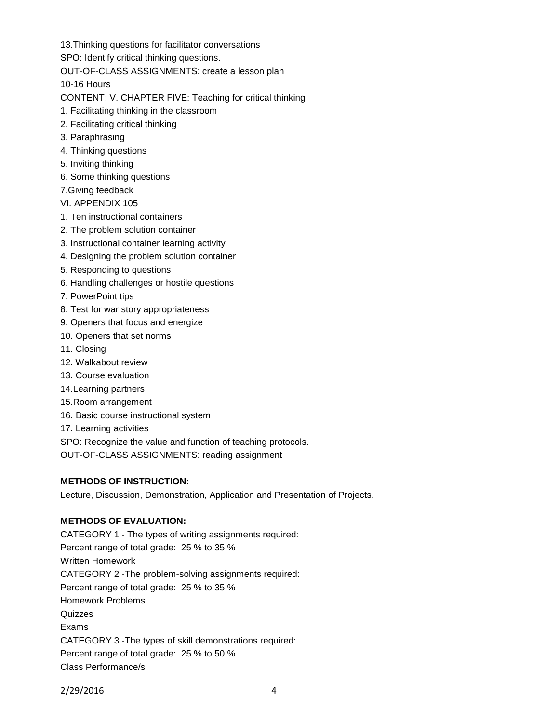13.Thinking questions for facilitator conversations

SPO: Identify critical thinking questions.

OUT-OF-CLASS ASSIGNMENTS: create a lesson plan

10-16 Hours

CONTENT: V. CHAPTER FIVE: Teaching for critical thinking

- 1. Facilitating thinking in the classroom
- 2. Facilitating critical thinking
- 3. Paraphrasing
- 4. Thinking questions
- 5. Inviting thinking
- 6. Some thinking questions
- 7.Giving feedback
- VI. APPENDIX 105
- 1. Ten instructional containers
- 2. The problem solution container
- 3. Instructional container learning activity
- 4. Designing the problem solution container
- 5. Responding to questions
- 6. Handling challenges or hostile questions
- 7. PowerPoint tips
- 8. Test for war story appropriateness
- 9. Openers that focus and energize
- 10. Openers that set norms
- 11. Closing
- 12. Walkabout review
- 13. Course evaluation
- 14.Learning partners
- 15.Room arrangement
- 16. Basic course instructional system
- 17. Learning activities
- SPO: Recognize the value and function of teaching protocols.
- OUT-OF-CLASS ASSIGNMENTS: reading assignment

# **METHODS OF INSTRUCTION:**

Lecture, Discussion, Demonstration, Application and Presentation of Projects.

# **METHODS OF EVALUATION:**

CATEGORY 1 - The types of writing assignments required: Percent range of total grade: 25 % to 35 % Written Homework CATEGORY 2 -The problem-solving assignments required: Percent range of total grade: 25 % to 35 % Homework Problems Quizzes Exams CATEGORY 3 -The types of skill demonstrations required: Percent range of total grade: 25 % to 50 % Class Performance/s